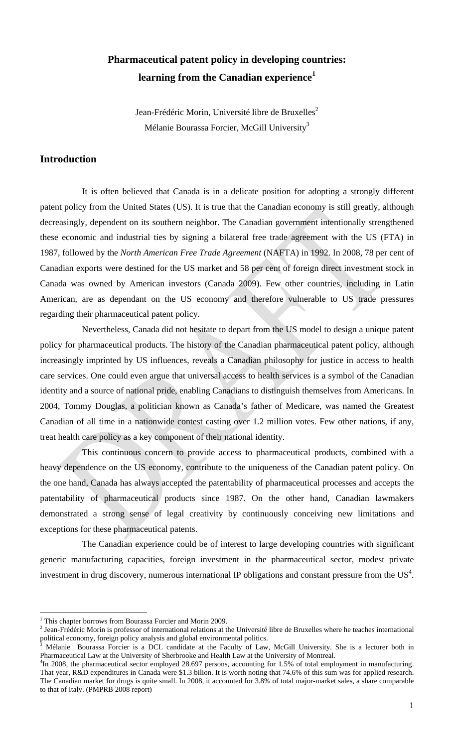# **Pharmaceutical patent policy in developing countries: learning from the Canadian experience<sup>1</sup>**

Jean-Frédéric Morin, Université libre de Bruxelles<sup>2</sup> Mélanie Bourassa Forcier, McGill University<sup>3</sup>

#### **Introduction**

It is often believed that Canada is in a delicate position for adopting a strongly different patent policy from the United States (US). It is true that the Canadian economy is still greatly, although decreasingly, dependent on its southern neighbor. The Canadian government intentionally strengthened these economic and industrial ties by signing a bilateral free trade agreement with the US (FTA) in 1987, followed by the *North American Free Trade Agreement* (NAFTA) in 1992. In 2008, 78 per cent of Canadian exports were destined for the US market and 58 per cent of foreign direct investment stock in Canada was owned by American investors (Canada 2009). Few other countries, including in Latin American, are as dependant on the US economy and therefore vulnerable to US trade pressures regarding their pharmaceutical patent policy.

Nevertheless, Canada did not hesitate to depart from the US model to design a unique patent policy for pharmaceutical products. The history of the Canadian pharmaceutical patent policy, although increasingly imprinted by US influences, reveals a Canadian philosophy for justice in access to health care services. One could even argue that universal access to health services is a symbol of the Canadian identity and a source of national pride, enabling Canadians to distinguish themselves from Americans. In 2004, Tommy Douglas, a politician known as Canada's father of Medicare, was named the Greatest Canadian of all time in a nationwide contest casting over 1.2 million votes. Few other nations, if any, treat health care policy as a key component of their national identity.

This continuous concern to provide access to pharmaceutical products, combined with a heavy dependence on the US economy, contribute to the uniqueness of the Canadian patent policy. On the one hand, Canada has always accepted the patentability of pharmaceutical processes and accepts the patentability of pharmaceutical products since 1987. On the other hand, Canadian lawmakers demonstrated a strong sense of legal creativity by continuously conceiving new limitations and exceptions for these pharmaceutical patents.

The Canadian experience could be of interest to large developing countries with significant generic manufacturing capacities, foreign investment in the pharmaceutical sector, modest private investment in drug discovery, numerous international IP obligations and constant pressure from the  $US<sup>4</sup>$ .

 1 This chapter borrows from Bourassa Forcier and Morin 2009.

 $2^{2}$  Jean-Frédéric Morin is professor of international relations at the Université libre de Bruxelles where he teaches international political economy, foreign policy analysis and global environmental politics.<br><sup>3</sup> Málapia – Boursses Foreign is a DCI expedidate at the Foculty of Law

Mélanie Bourassa Forcier is a DCL candidate at the Faculty of Law, McGill University. She is a lecturer both in Pharmaceutical Law at the University of Sherbrooke and Health Law at the University of Montreal. 4

<sup>&</sup>lt;sup>4</sup>In 2008, the pharmaceutical sector employed 28.697 persons, accounting for 1.5% of total employment in manufacturing. That year, R&D expenditures in Canada were \$1.3 bilion. It is worth noting that 74.6% of this sum was for applied research. The Canadian market for drugs is quite small. In 2008, it accounted for 3.8% of total major-market sales, a share comparable to that of Italy. (PMPRB 2008 report)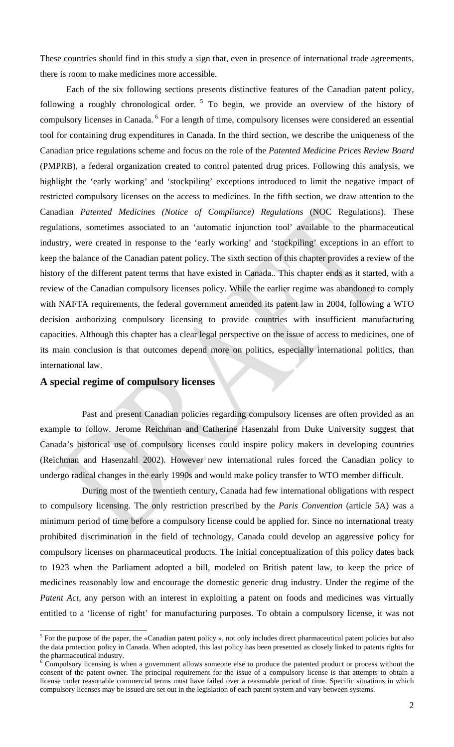These countries should find in this study a sign that, even in presence of international trade agreements, there is room to make medicines more accessible.

Each of the six following sections presents distinctive features of the Canadian patent policy, following a roughly chronological order.  $5\degree$  To begin, we provide an overview of the history of compulsory licenses in Canada. <sup>6</sup> For a length of time, compulsory licenses were considered an essential tool for containing drug expenditures in Canada. In the third section, we describe the uniqueness of the Canadian price regulations scheme and focus on the role of the *Patented Medicine Prices Review Board* (PMPRB), a federal organization created to control patented drug prices. Following this analysis, we highlight the 'early working' and 'stockpiling' exceptions introduced to limit the negative impact of restricted compulsory licenses on the access to medicines. In the fifth section, we draw attention to the Canadian *Patented Medicines (Notice of Compliance) Regulations* (NOC Regulations). These regulations, sometimes associated to an 'automatic injunction tool' available to the pharmaceutical industry, were created in response to the 'early working' and 'stockpiling' exceptions in an effort to keep the balance of the Canadian patent policy. The sixth section of this chapter provides a review of the history of the different patent terms that have existed in Canada.. This chapter ends as it started, with a review of the Canadian compulsory licenses policy. While the earlier regime was abandoned to comply with NAFTA requirements, the federal government amended its patent law in 2004, following a WTO decision authorizing compulsory licensing to provide countries with insufficient manufacturing capacities. Although this chapter has a clear legal perspective on the issue of access to medicines, one of its main conclusion is that outcomes depend more on politics, especially international politics, than international law.

## **A special regime of compulsory licenses**

1

Past and present Canadian policies regarding compulsory licenses are often provided as an example to follow. Jerome Reichman and Catherine Hasenzahl from Duke University suggest that Canada's historical use of compulsory licenses could inspire policy makers in developing countries (Reichman and Hasenzahl 2002). However new international rules forced the Canadian policy to undergo radical changes in the early 1990s and would make policy transfer to WTO member difficult.

During most of the twentieth century, Canada had few international obligations with respect to compulsory licensing. The only restriction prescribed by the *Paris Convention* (article 5A) was a minimum period of time before a compulsory license could be applied for. Since no international treaty prohibited discrimination in the field of technology, Canada could develop an aggressive policy for compulsory licenses on pharmaceutical products. The initial conceptualization of this policy dates back to 1923 when the Parliament adopted a bill, modeled on British patent law, to keep the price of medicines reasonably low and encourage the domestic generic drug industry. Under the regime of the *Patent Act*, any person with an interest in exploiting a patent on foods and medicines was virtually entitled to a 'license of right' for manufacturing purposes. To obtain a compulsory license, it was not

 $<sup>5</sup>$  For the purpose of the paper, the «Canadian patent policy», not only includes direct pharmaceutical patent policies but also</sup> the data protection policy in Canada. When adopted, this last policy has been presented as closely linked to patents rights for the pharmaceutical industry.

<sup>&</sup>lt;sup>6</sup> Compulsory licensing is when a government allows someone else to produce the patented product or process without the consent of the patent owner. The principal requirement for the issue of a compulsory license is that attempts to obtain a license under reasonable commercial terms must have failed over a reasonable period of time. Specific situations in which compulsory licenses may be issued are set out in the legislation of each patent system and vary between systems.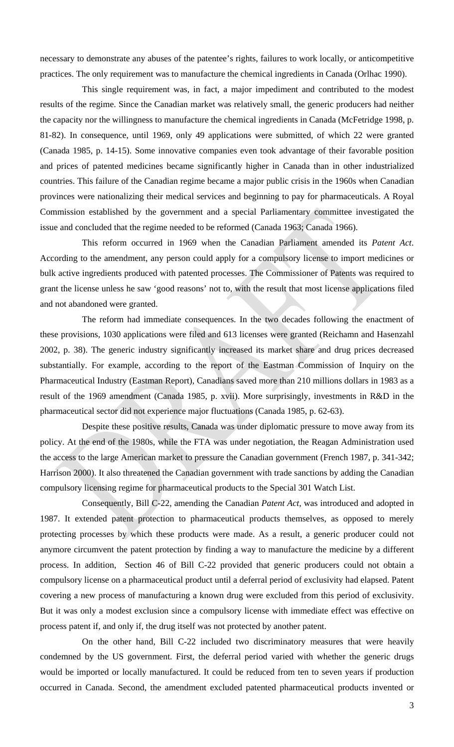necessary to demonstrate any abuses of the patentee's rights, failures to work locally, or anticompetitive practices. The only requirement was to manufacture the chemical ingredients in Canada (Orlhac 1990).

This single requirement was, in fact, a major impediment and contributed to the modest results of the regime. Since the Canadian market was relatively small, the generic producers had neither the capacity nor the willingness to manufacture the chemical ingredients in Canada (McFetridge 1998, p. 81-82). In consequence, until 1969, only 49 applications were submitted, of which 22 were granted (Canada 1985, p. 14-15). Some innovative companies even took advantage of their favorable position and prices of patented medicines became significantly higher in Canada than in other industrialized countries. This failure of the Canadian regime became a major public crisis in the 1960s when Canadian provinces were nationalizing their medical services and beginning to pay for pharmaceuticals. A Royal Commission established by the government and a special Parliamentary committee investigated the issue and concluded that the regime needed to be reformed (Canada 1963; Canada 1966).

This reform occurred in 1969 when the Canadian Parliament amended its *Patent Act*. According to the amendment, any person could apply for a compulsory license to import medicines or bulk active ingredients produced with patented processes. The Commissioner of Patents was required to grant the license unless he saw 'good reasons' not to, with the result that most license applications filed and not abandoned were granted.

The reform had immediate consequences. In the two decades following the enactment of these provisions, 1030 applications were filed and 613 licenses were granted (Reichamn and Hasenzahl 2002, p. 38). The generic industry significantly increased its market share and drug prices decreased substantially. For example, according to the report of the Eastman Commission of Inquiry on the Pharmaceutical Industry (Eastman Report), Canadians saved more than 210 millions dollars in 1983 as a result of the 1969 amendment (Canada 1985, p. xvii). More surprisingly, investments in R&D in the pharmaceutical sector did not experience major fluctuations (Canada 1985, p. 62-63).

Despite these positive results, Canada was under diplomatic pressure to move away from its policy. At the end of the 1980s, while the FTA was under negotiation, the Reagan Administration used the access to the large American market to pressure the Canadian government (French 1987, p. 341-342; Harrison 2000). It also threatened the Canadian government with trade sanctions by adding the Canadian compulsory licensing regime for pharmaceutical products to the Special 301 Watch List.

Consequently, Bill C-22, amending the Canadian *Patent Act*, was introduced and adopted in 1987. It extended patent protection to pharmaceutical products themselves, as opposed to merely protecting processes by which these products were made. As a result, a generic producer could not anymore circumvent the patent protection by finding a way to manufacture the medicine by a different process. In addition, Section 46 of Bill C-22 provided that generic producers could not obtain a compulsory license on a pharmaceutical product until a deferral period of exclusivity had elapsed. Patent covering a new process of manufacturing a known drug were excluded from this period of exclusivity. But it was only a modest exclusion since a compulsory license with immediate effect was effective on process patent if, and only if, the drug itself was not protected by another patent.

On the other hand, Bill C-22 included two discriminatory measures that were heavily condemned by the US government. First, the deferral period varied with whether the generic drugs would be imported or locally manufactured. It could be reduced from ten to seven years if production occurred in Canada. Second, the amendment excluded patented pharmaceutical products invented or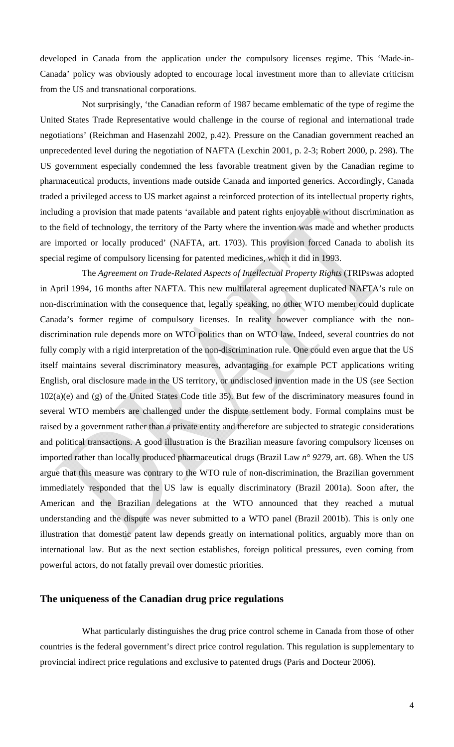developed in Canada from the application under the compulsory licenses regime. This 'Made-in-Canada' policy was obviously adopted to encourage local investment more than to alleviate criticism from the US and transnational corporations.

Not surprisingly, 'the Canadian reform of 1987 became emblematic of the type of regime the United States Trade Representative would challenge in the course of regional and international trade negotiations' (Reichman and Hasenzahl 2002, p.42). Pressure on the Canadian government reached an unprecedented level during the negotiation of NAFTA (Lexchin 2001, p. 2-3; Robert 2000, p. 298). The US government especially condemned the less favorable treatment given by the Canadian regime to pharmaceutical products, inventions made outside Canada and imported generics. Accordingly, Canada traded a privileged access to US market against a reinforced protection of its intellectual property rights, including a provision that made patents 'available and patent rights enjoyable without discrimination as to the field of technology, the territory of the Party where the invention was made and whether products are imported or locally produced' (NAFTA, art. 1703). This provision forced Canada to abolish its special regime of compulsory licensing for patented medicines, which it did in 1993.

The *Agreement on Trade-Related Aspects of Intellectual Property Rights* (TRIPswas adopted in April 1994, 16 months after NAFTA. This new multilateral agreement duplicated NAFTA's rule on non-discrimination with the consequence that, legally speaking, no other WTO member could duplicate Canada's former regime of compulsory licenses. In reality however compliance with the nondiscrimination rule depends more on WTO politics than on WTO law. Indeed, several countries do not fully comply with a rigid interpretation of the non-discrimination rule. One could even argue that the US itself maintains several discriminatory measures, advantaging for example PCT applications writing English, oral disclosure made in the US territory, or undisclosed invention made in the US (see Section 102(a)(e) and (g) of the United States Code title 35). But few of the discriminatory measures found in several WTO members are challenged under the dispute settlement body. Formal complains must be raised by a government rather than a private entity and therefore are subjected to strategic considerations and political transactions. A good illustration is the Brazilian measure favoring compulsory licenses on imported rather than locally produced pharmaceutical drugs (Brazil Law *n° 9279*, art. 68). When the US argue that this measure was contrary to the WTO rule of non-discrimination, the Brazilian government immediately responded that the US law is equally discriminatory (Brazil 2001a). Soon after, the American and the Brazilian delegations at the WTO announced that they reached a mutual understanding and the dispute was never submitted to a WTO panel (Brazil 2001b). This is only one illustration that domestic patent law depends greatly on international politics, arguably more than on international law. But as the next section establishes, foreign political pressures, even coming from powerful actors, do not fatally prevail over domestic priorities.

## **The uniqueness of the Canadian drug price regulations**

What particularly distinguishes the drug price control scheme in Canada from those of other countries is the federal government's direct price control regulation. This regulation is supplementary to provincial indirect price regulations and exclusive to patented drugs (Paris and Docteur 2006).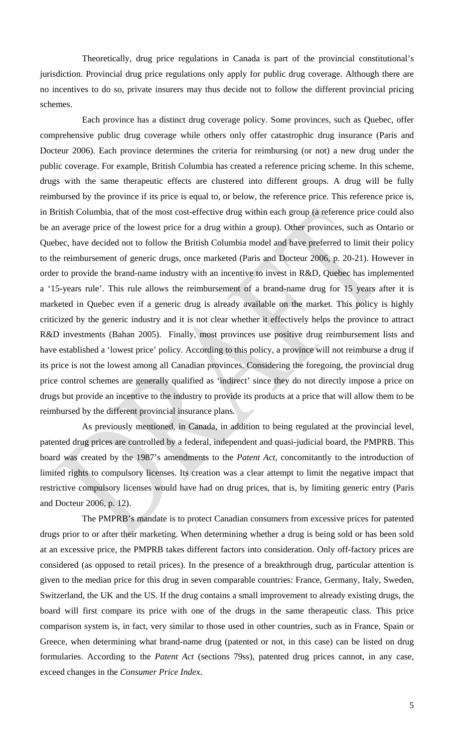Theoretically, drug price regulations in Canada is part of the provincial constitutional's jurisdiction. Provincial drug price regulations only apply for public drug coverage. Although there are no incentives to do so, private insurers may thus decide not to follow the different provincial pricing schemes.

Each province has a distinct drug coverage policy. Some provinces, such as Quebec, offer comprehensive public drug coverage while others only offer catastrophic drug insurance (Paris and Docteur 2006). Each province determines the criteria for reimbursing (or not) a new drug under the public coverage. For example, British Columbia has created a reference pricing scheme. In this scheme, drugs with the same therapeutic effects are clustered into different groups. A drug will be fully reimbursed by the province if its price is equal to, or below, the reference price. This reference price is, in British Columbia, that of the most cost-effective drug within each group (a reference price could also be an average price of the lowest price for a drug within a group). Other provinces, such as Ontario or Quebec, have decided not to follow the British Columbia model and have preferred to limit their policy to the reimbursement of generic drugs, once marketed (Paris and Docteur 2006, p. 20-21). However in order to provide the brand-name industry with an incentive to invest in R&D, Quebec has implemented a '15-years rule'. This rule allows the reimbursement of a brand-name drug for 15 years after it is marketed in Quebec even if a generic drug is already available on the market. This policy is highly criticized by the generic industry and it is not clear whether it effectively helps the province to attract R&D investments (Bahan 2005). Finally, most provinces use positive drug reimbursement lists and have established a 'lowest price' policy. According to this policy, a province will not reimburse a drug if its price is not the lowest among all Canadian provinces. Considering the foregoing, the provincial drug price control schemes are generally qualified as 'indirect' since they do not directly impose a price on drugs but provide an incentive to the industry to provide its products at a price that will allow them to be reimbursed by the different provincial insurance plans.

As previously mentioned, in Canada, in addition to being regulated at the provincial level, patented drug prices are controlled by a federal, independent and quasi-judicial board, the PMPRB. This board was created by the 1987's amendments to the *Patent Act*, concomitantly to the introduction of limited rights to compulsory licenses. Its creation was a clear attempt to limit the negative impact that restrictive compulsory licenses would have had on drug prices, that is, by limiting generic entry (Paris and Docteur 2006, p. 12).

The PMPRB's mandate is to protect Canadian consumers from excessive prices for patented drugs prior to or after their marketing. When determining whether a drug is being sold or has been sold at an excessive price, the PMPRB takes different factors into consideration. Only off-factory prices are considered (as opposed to retail prices). In the presence of a breakthrough drug, particular attention is given to the median price for this drug in seven comparable countries: France, Germany, Italy, Sweden, Switzerland, the UK and the US. If the drug contains a small improvement to already existing drugs, the board will first compare its price with one of the drugs in the same therapeutic class. This price comparison system is, in fact, very similar to those used in other countries, such as in France, Spain or Greece, when determining what brand-name drug (patented or not, in this case) can be listed on drug formularies. According to the *Patent Act* (sections 79ss), patented drug prices cannot, in any case, exceed changes in the *Consumer Price Index*.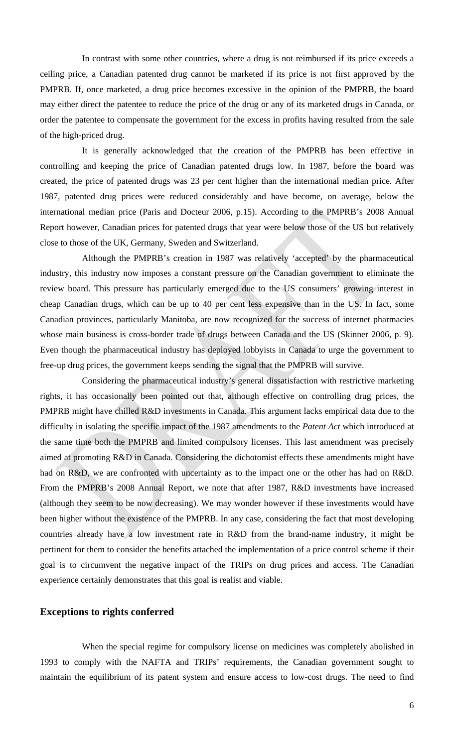In contrast with some other countries, where a drug is not reimbursed if its price exceeds a ceiling price, a Canadian patented drug cannot be marketed if its price is not first approved by the PMPRB. If, once marketed, a drug price becomes excessive in the opinion of the PMPRB, the board may either direct the patentee to reduce the price of the drug or any of its marketed drugs in Canada, or order the patentee to compensate the government for the excess in profits having resulted from the sale of the high-priced drug.

It is generally acknowledged that the creation of the PMPRB has been effective in controlling and keeping the price of Canadian patented drugs low. In 1987, before the board was created, the price of patented drugs was 23 per cent higher than the international median price. After 1987, patented drug prices were reduced considerably and have become, on average, below the international median price (Paris and Docteur 2006, p.15). According to the PMPRB's 2008 Annual Report however, Canadian prices for patented drugs that year were below those of the US but relatively close to those of the UK, Germany, Sweden and Switzerland.

Although the PMPRB's creation in 1987 was relatively 'accepted' by the pharmaceutical industry, this industry now imposes a constant pressure on the Canadian government to eliminate the review board. This pressure has particularly emerged due to the US consumers' growing interest in cheap Canadian drugs, which can be up to 40 per cent less expensive than in the US. In fact, some Canadian provinces, particularly Manitoba, are now recognized for the success of internet pharmacies whose main business is cross-border trade of drugs between Canada and the US (Skinner 2006, p. 9). Even though the pharmaceutical industry has deployed lobbyists in Canada to urge the government to free-up drug prices, the government keeps sending the signal that the PMPRB will survive.

Considering the pharmaceutical industry's general dissatisfaction with restrictive marketing rights, it has occasionally been pointed out that, although effective on controlling drug prices, the PMPRB might have chilled R&D investments in Canada. This argument lacks empirical data due to the difficulty in isolating the specific impact of the 1987 amendments to the *Patent Act* which introduced at the same time both the PMPRB and limited compulsory licenses. This last amendment was precisely aimed at promoting R&D in Canada. Considering the dichotomist effects these amendments might have had on R&D, we are confronted with uncertainty as to the impact one or the other has had on R&D. From the PMPRB's 2008 Annual Report, we note that after 1987, R&D investments have increased (although they seem to be now decreasing). We may wonder however if these investments would have been higher without the existence of the PMPRB. In any case, considering the fact that most developing countries already have a low investment rate in R&D from the brand-name industry, it might be pertinent for them to consider the benefits attached the implementation of a price control scheme if their goal is to circumvent the negative impact of the TRIPs on drug prices and access. The Canadian experience certainly demonstrates that this goal is realist and viable.

#### **Exceptions to rights conferred**

When the special regime for compulsory license on medicines was completely abolished in 1993 to comply with the NAFTA and TRIPs' requirements, the Canadian government sought to maintain the equilibrium of its patent system and ensure access to low-cost drugs. The need to find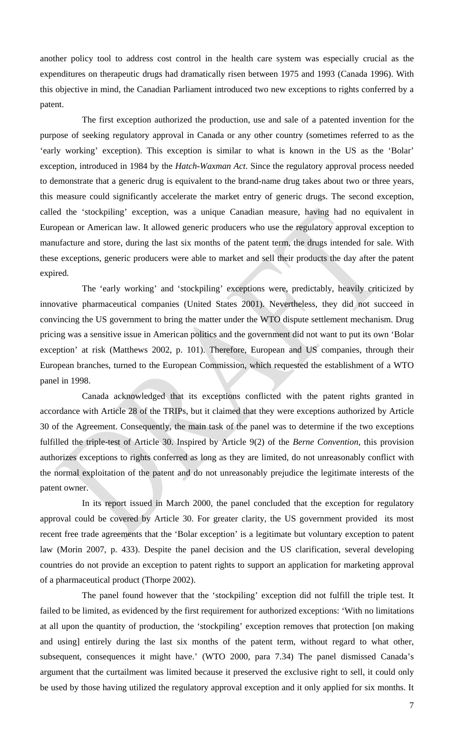another policy tool to address cost control in the health care system was especially crucial as the expenditures on therapeutic drugs had dramatically risen between 1975 and 1993 (Canada 1996). With this objective in mind, the Canadian Parliament introduced two new exceptions to rights conferred by a patent.

The first exception authorized the production, use and sale of a patented invention for the purpose of seeking regulatory approval in Canada or any other country (sometimes referred to as the 'early working' exception). This exception is similar to what is known in the US as the 'Bolar' exception, introduced in 1984 by the *Hatch-Waxman Act*. Since the regulatory approval process needed to demonstrate that a generic drug is equivalent to the brand-name drug takes about two or three years, this measure could significantly accelerate the market entry of generic drugs. The second exception, called the 'stockpiling' exception, was a unique Canadian measure, having had no equivalent in European or American law. It allowed generic producers who use the regulatory approval exception to manufacture and store, during the last six months of the patent term, the drugs intended for sale. With these exceptions, generic producers were able to market and sell their products the day after the patent expired.

The 'early working' and 'stockpiling' exceptions were, predictably, heavily criticized by innovative pharmaceutical companies (United States 2001). Nevertheless, they did not succeed in convincing the US government to bring the matter under the WTO dispute settlement mechanism. Drug pricing was a sensitive issue in American politics and the government did not want to put its own 'Bolar exception' at risk (Matthews 2002, p. 101). Therefore, European and US companies, through their European branches, turned to the European Commission, which requested the establishment of a WTO panel in 1998.

Canada acknowledged that its exceptions conflicted with the patent rights granted in accordance with Article 28 of the TRIPs, but it claimed that they were exceptions authorized by Article 30 of the Agreement. Consequently, the main task of the panel was to determine if the two exceptions fulfilled the triple-test of Article 30. Inspired by Article 9(2) of the *Berne Convention*, this provision authorizes exceptions to rights conferred as long as they are limited, do not unreasonably conflict with the normal exploitation of the patent and do not unreasonably prejudice the legitimate interests of the patent owner.

In its report issued in March 2000, the panel concluded that the exception for regulatory approval could be covered by Article 30. For greater clarity, the US government provided its most recent free trade agreements that the 'Bolar exception' is a legitimate but voluntary exception to patent law (Morin 2007, p. 433). Despite the panel decision and the US clarification, several developing countries do not provide an exception to patent rights to support an application for marketing approval of a pharmaceutical product (Thorpe 2002).

The panel found however that the 'stockpiling' exception did not fulfill the triple test. It failed to be limited, as evidenced by the first requirement for authorized exceptions: 'With no limitations at all upon the quantity of production, the 'stockpiling' exception removes that protection [on making and using] entirely during the last six months of the patent term, without regard to what other, subsequent, consequences it might have.' (WTO 2000, para 7.34) The panel dismissed Canada's argument that the curtailment was limited because it preserved the exclusive right to sell, it could only be used by those having utilized the regulatory approval exception and it only applied for six months. It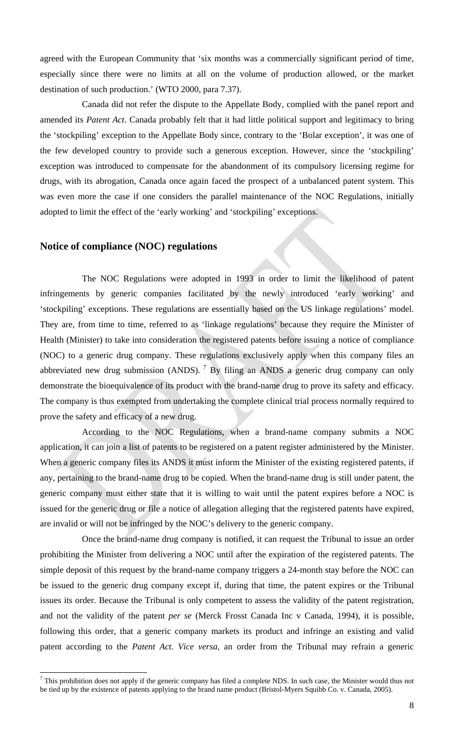agreed with the European Community that 'six months was a commercially significant period of time, especially since there were no limits at all on the volume of production allowed, or the market destination of such production.' (WTO 2000, para 7.37).

Canada did not refer the dispute to the Appellate Body, complied with the panel report and amended its *Patent Act*. Canada probably felt that it had little political support and legitimacy to bring the 'stockpiling' exception to the Appellate Body since, contrary to the 'Bolar exception', it was one of the few developed country to provide such a generous exception. However, since the 'stockpiling' exception was introduced to compensate for the abandonment of its compulsory licensing regime for drugs, with its abrogation, Canada once again faced the prospect of a unbalanced patent system. This was even more the case if one considers the parallel maintenance of the NOC Regulations, initially adopted to limit the effect of the 'early working' and 'stockpiling' exceptions.

#### **Notice of compliance (NOC) regulations**

1

The NOC Regulations were adopted in 1993 in order to limit the likelihood of patent infringements by generic companies facilitated by the newly introduced 'early working' and 'stockpiling' exceptions. These regulations are essentially based on the US linkage regulations' model. They are, from time to time, referred to as 'linkage regulations' because they require the Minister of Health (Minister) to take into consideration the registered patents before issuing a notice of compliance (NOC) to a generic drug company. These regulations exclusively apply when this company files an abbreviated new drug submission (ANDS).  $^7$  By filing an ANDS a generic drug company can only demonstrate the bioequivalence of its product with the brand-name drug to prove its safety and efficacy. The company is thus exempted from undertaking the complete clinical trial process normally required to prove the safety and efficacy of a new drug.

According to the NOC Regulations, when a brand-name company submits a NOC application, it can join a list of patents to be registered on a patent register administered by the Minister. When a generic company files its ANDS it must inform the Minister of the existing registered patents, if any, pertaining to the brand-name drug to be copied. When the brand-name drug is still under patent, the generic company must either state that it is willing to wait until the patent expires before a NOC is issued for the generic drug or file a notice of allegation alleging that the registered patents have expired, are invalid or will not be infringed by the NOC's delivery to the generic company.

Once the brand-name drug company is notified, it can request the Tribunal to issue an order prohibiting the Minister from delivering a NOC until after the expiration of the registered patents. The simple deposit of this request by the brand-name company triggers a 24-month stay before the NOC can be issued to the generic drug company except if, during that time, the patent expires or the Tribunal issues its order. Because the Tribunal is only competent to assess the validity of the patent registration, and not the validity of the patent *per se* (Merck Frosst Canada Inc v Canada, 1994), it is possible, following this order, that a generic company markets its product and infringe an existing and valid patent according to the *Patent Act*. *Vice versa*, an order from the Tribunal may refrain a generic

 $<sup>7</sup>$  This prohibition does not apply if the generic company has filed a complete NDS. In such case, the Minister would thus not</sup> be tied up by the existence of patents applying to the brand name product (Bristol-Myers Squibb Co. v. Canada, 2005).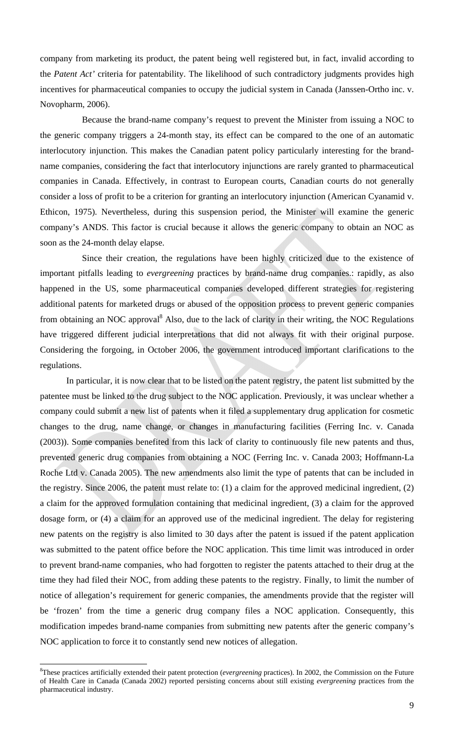company from marketing its product, the patent being well registered but, in fact, invalid according to the *Patent Act'* criteria for patentability. The likelihood of such contradictory judgments provides high incentives for pharmaceutical companies to occupy the judicial system in Canada (Janssen-Ortho inc. v. Novopharm, 2006).

Because the brand-name company's request to prevent the Minister from issuing a NOC to the generic company triggers a 24-month stay, its effect can be compared to the one of an automatic interlocutory injunction. This makes the Canadian patent policy particularly interesting for the brandname companies, considering the fact that interlocutory injunctions are rarely granted to pharmaceutical companies in Canada. Effectively, in contrast to European courts, Canadian courts do not generally consider a loss of profit to be a criterion for granting an interlocutory injunction (American Cyanamid v. Ethicon, 1975). Nevertheless, during this suspension period, the Minister will examine the generic company's ANDS. This factor is crucial because it allows the generic company to obtain an NOC as soon as the 24-month delay elapse.

Since their creation, the regulations have been highly criticized due to the existence of important pitfalls leading to *evergreening* practices by brand-name drug companies.: rapidly, as also happened in the US, some pharmaceutical companies developed different strategies for registering additional patents for marketed drugs or abused of the opposition process to prevent generic companies from obtaining an NOC approval<sup>8</sup> Also, due to the lack of clarity in their writing, the NOC Regulations have triggered different judicial interpretations that did not always fit with their original purpose. Considering the forgoing, in October 2006, the government introduced important clarifications to the regulations.

In particular, it is now clear that to be listed on the patent registry, the patent list submitted by the patentee must be linked to the drug subject to the NOC application. Previously, it was unclear whether a company could submit a new list of patents when it filed a supplementary drug application for cosmetic changes to the drug, name change, or changes in manufacturing facilities (Ferring Inc. v. Canada (2003)). Some companies benefited from this lack of clarity to continuously file new patents and thus, prevented generic drug companies from obtaining a NOC (Ferring Inc. v. Canada 2003; Hoffmann-La Roche Ltd v. Canada 2005). The new amendments also limit the type of patents that can be included in the registry. Since 2006, the patent must relate to: (1) a claim for the approved medicinal ingredient, (2) a claim for the approved formulation containing that medicinal ingredient, (3) a claim for the approved dosage form, or (4) a claim for an approved use of the medicinal ingredient. The delay for registering new patents on the registry is also limited to 30 days after the patent is issued if the patent application was submitted to the patent office before the NOC application. This time limit was introduced in order to prevent brand-name companies, who had forgotten to register the patents attached to their drug at the time they had filed their NOC, from adding these patents to the registry. Finally, to limit the number of notice of allegation's requirement for generic companies, the amendments provide that the register will be 'frozen' from the time a generic drug company files a NOC application. Consequently, this modification impedes brand-name companies from submitting new patents after the generic company's NOC application to force it to constantly send new notices of allegation.

 $\overline{a}$ 

<sup>8</sup> These practices artificially extended their patent protection (*evergreening* practices). In 2002, the Commission on the Future of Health Care in Canada (Canada 2002) reported persisting concerns about still existing *evergreening* practices from the pharmaceutical industry.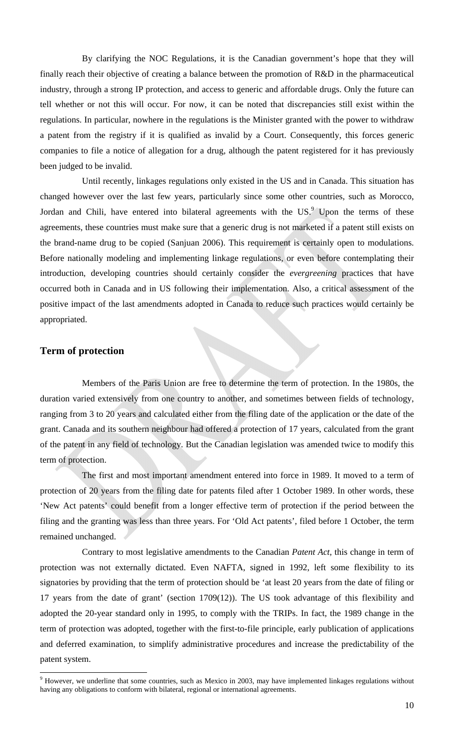By clarifying the NOC Regulations, it is the Canadian government's hope that they will finally reach their objective of creating a balance between the promotion of R&D in the pharmaceutical industry, through a strong IP protection, and access to generic and affordable drugs. Only the future can tell whether or not this will occur. For now, it can be noted that discrepancies still exist within the regulations. In particular, nowhere in the regulations is the Minister granted with the power to withdraw a patent from the registry if it is qualified as invalid by a Court. Consequently, this forces generic companies to file a notice of allegation for a drug, although the patent registered for it has previously been judged to be invalid.

Until recently, linkages regulations only existed in the US and in Canada. This situation has changed however over the last few years, particularly since some other countries, such as Morocco, Jordan and Chili, have entered into bilateral agreements with the  $US<sup>9</sup>$  Upon the terms of these agreements, these countries must make sure that a generic drug is not marketed if a patent still exists on the brand-name drug to be copied (Sanjuan 2006). This requirement is certainly open to modulations. Before nationally modeling and implementing linkage regulations, or even before contemplating their introduction, developing countries should certainly consider the *evergreening* practices that have occurred both in Canada and in US following their implementation. Also, a critical assessment of the positive impact of the last amendments adopted in Canada to reduce such practices would certainly be appropriated.

## **Term of protection**

Members of the Paris Union are free to determine the term of protection. In the 1980s, the duration varied extensively from one country to another, and sometimes between fields of technology, ranging from 3 to 20 years and calculated either from the filing date of the application or the date of the grant. Canada and its southern neighbour had offered a protection of 17 years, calculated from the grant of the patent in any field of technology. But the Canadian legislation was amended twice to modify this term of protection.

The first and most important amendment entered into force in 1989. It moved to a term of protection of 20 years from the filing date for patents filed after 1 October 1989. In other words, these 'New Act patents' could benefit from a longer effective term of protection if the period between the filing and the granting was less than three years. For 'Old Act patents', filed before 1 October, the term remained unchanged.

Contrary to most legislative amendments to the Canadian *Patent Act*, this change in term of protection was not externally dictated. Even NAFTA, signed in 1992, left some flexibility to its signatories by providing that the term of protection should be 'at least 20 years from the date of filing or 17 years from the date of grant' (section 1709(12)). The US took advantage of this flexibility and adopted the 20-year standard only in 1995, to comply with the TRIPs. In fact, the 1989 change in the term of protection was adopted, together with the first-to-file principle, early publication of applications and deferred examination, to simplify administrative procedures and increase the predictability of the patent system.

<sup>&</sup>lt;sup>9</sup> However, we underline that some countries, such as Mexico in 2003, may have implemented linkages regulations without having any obligations to conform with bilateral, regional or international agreements.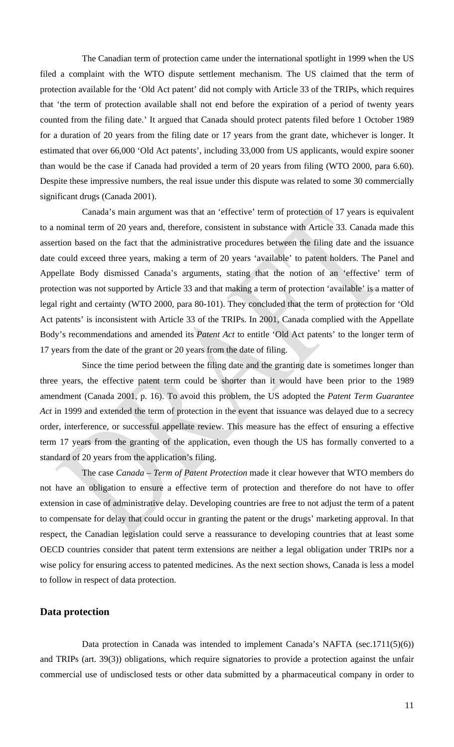The Canadian term of protection came under the international spotlight in 1999 when the US filed a complaint with the WTO dispute settlement mechanism. The US claimed that the term of protection available for the 'Old Act patent' did not comply with Article 33 of the TRIPs, which requires that 'the term of protection available shall not end before the expiration of a period of twenty years counted from the filing date.' It argued that Canada should protect patents filed before 1 October 1989 for a duration of 20 years from the filing date or 17 years from the grant date, whichever is longer. It estimated that over 66,000 'Old Act patents', including 33,000 from US applicants, would expire sooner than would be the case if Canada had provided a term of 20 years from filing (WTO 2000, para 6.60). Despite these impressive numbers, the real issue under this dispute was related to some 30 commercially significant drugs (Canada 2001).

Canada's main argument was that an 'effective' term of protection of 17 years is equivalent to a nominal term of 20 years and, therefore, consistent in substance with Article 33. Canada made this assertion based on the fact that the administrative procedures between the filing date and the issuance date could exceed three years, making a term of 20 years 'available' to patent holders. The Panel and Appellate Body dismissed Canada's arguments, stating that the notion of an 'effective' term of protection was not supported by Article 33 and that making a term of protection 'available' is a matter of legal right and certainty (WTO 2000, para 80-101). They concluded that the term of protection for 'Old Act patents' is inconsistent with Article 33 of the TRIPs. In 2001, Canada complied with the Appellate Body's recommendations and amended its *Patent Act* to entitle 'Old Act patents' to the longer term of 17 years from the date of the grant or 20 years from the date of filing.

Since the time period between the filing date and the granting date is sometimes longer than three years, the effective patent term could be shorter than it would have been prior to the 1989 amendment (Canada 2001, p. 16). To avoid this problem, the US adopted the *Patent Term Guarantee Act* in 1999 and extended the term of protection in the event that issuance was delayed due to a secrecy order, interference, or successful appellate review. This measure has the effect of ensuring a effective term 17 years from the granting of the application, even though the US has formally converted to a standard of 20 years from the application's filing.

The case *Canada* – *Term of Patent Protection* made it clear however that WTO members do not have an obligation to ensure a effective term of protection and therefore do not have to offer extension in case of administrative delay. Developing countries are free to not adjust the term of a patent to compensate for delay that could occur in granting the patent or the drugs' marketing approval. In that respect, the Canadian legislation could serve a reassurance to developing countries that at least some OECD countries consider that patent term extensions are neither a legal obligation under TRIPs nor a wise policy for ensuring access to patented medicines. As the next section shows, Canada is less a model to follow in respect of data protection.

#### **Data protection**

Data protection in Canada was intended to implement Canada's NAFTA (sec.1711(5)(6)) and TRIPs (art. 39(3)) obligations, which require signatories to provide a protection against the unfair commercial use of undisclosed tests or other data submitted by a pharmaceutical company in order to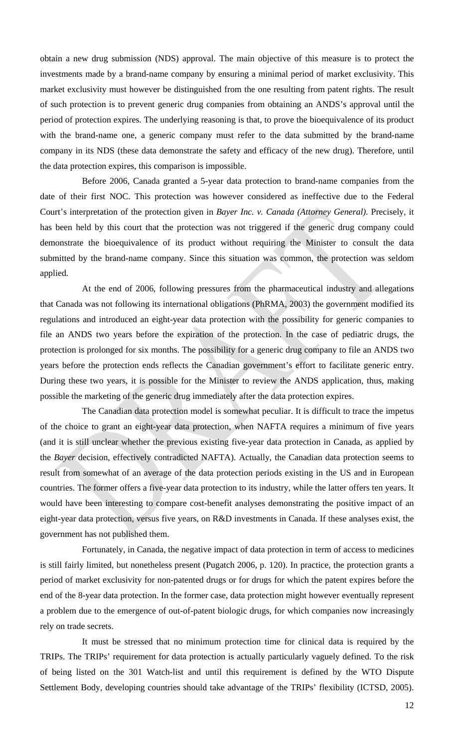obtain a new drug submission (NDS) approval. The main objective of this measure is to protect the investments made by a brand-name company by ensuring a minimal period of market exclusivity. This market exclusivity must however be distinguished from the one resulting from patent rights. The result of such protection is to prevent generic drug companies from obtaining an ANDS's approval until the period of protection expires. The underlying reasoning is that, to prove the bioequivalence of its product with the brand-name one, a generic company must refer to the data submitted by the brand-name company in its NDS (these data demonstrate the safety and efficacy of the new drug). Therefore, until the data protection expires, this comparison is impossible.

Before 2006, Canada granted a 5-year data protection to brand-name companies from the date of their first NOC. This protection was however considered as ineffective due to the Federal Court's interpretation of the protection given in *Bayer Inc. v. Canada (Attorney General)*. Precisely, it has been held by this court that the protection was not triggered if the generic drug company could demonstrate the bioequivalence of its product without requiring the Minister to consult the data submitted by the brand-name company. Since this situation was common, the protection was seldom applied.

At the end of 2006, following pressures from the pharmaceutical industry and allegations that Canada was not following its international obligations (PhRMA, 2003) the government modified its regulations and introduced an eight-year data protection with the possibility for generic companies to file an ANDS two years before the expiration of the protection. In the case of pediatric drugs, the protection is prolonged for six months. The possibility for a generic drug company to file an ANDS two years before the protection ends reflects the Canadian government's effort to facilitate generic entry. During these two years, it is possible for the Minister to review the ANDS application, thus, making possible the marketing of the generic drug immediately after the data protection expires.

The Canadian data protection model is somewhat peculiar. It is difficult to trace the impetus of the choice to grant an eight-year data protection, when NAFTA requires a minimum of five years (and it is still unclear whether the previous existing five-year data protection in Canada, as applied by the *Bayer* decision, effectively contradicted NAFTA). Actually, the Canadian data protection seems to result from somewhat of an average of the data protection periods existing in the US and in European countries. The former offers a five-year data protection to its industry, while the latter offers ten years. It would have been interesting to compare cost-benefit analyses demonstrating the positive impact of an eight-year data protection, versus five years, on R&D investments in Canada. If these analyses exist, the government has not published them.

Fortunately, in Canada, the negative impact of data protection in term of access to medicines is still fairly limited, but nonetheless present (Pugatch 2006, p. 120). In practice, the protection grants a period of market exclusivity for non-patented drugs or for drugs for which the patent expires before the end of the 8-year data protection. In the former case, data protection might however eventually represent a problem due to the emergence of out-of-patent biologic drugs, for which companies now increasingly rely on trade secrets.

It must be stressed that no minimum protection time for clinical data is required by the TRIPs. The TRIPs' requirement for data protection is actually particularly vaguely defined. To the risk of being listed on the 301 Watch-list and until this requirement is defined by the WTO Dispute Settlement Body, developing countries should take advantage of the TRIPs' flexibility (ICTSD, 2005).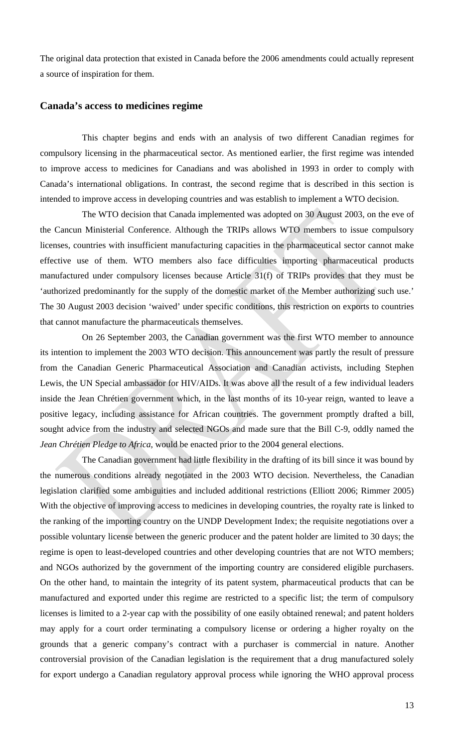The original data protection that existed in Canada before the 2006 amendments could actually represent a source of inspiration for them.

#### **Canada's access to medicines regime**

This chapter begins and ends with an analysis of two different Canadian regimes for compulsory licensing in the pharmaceutical sector. As mentioned earlier, the first regime was intended to improve access to medicines for Canadians and was abolished in 1993 in order to comply with Canada's international obligations. In contrast, the second regime that is described in this section is intended to improve access in developing countries and was establish to implement a WTO decision.

The WTO decision that Canada implemented was adopted on 30 August 2003, on the eve of the Cancun Ministerial Conference. Although the TRIPs allows WTO members to issue compulsory licenses, countries with insufficient manufacturing capacities in the pharmaceutical sector cannot make effective use of them. WTO members also face difficulties importing pharmaceutical products manufactured under compulsory licenses because Article 31(f) of TRIPs provides that they must be 'authorized predominantly for the supply of the domestic market of the Member authorizing such use.' The 30 August 2003 decision 'waived' under specific conditions, this restriction on exports to countries that cannot manufacture the pharmaceuticals themselves.

On 26 September 2003, the Canadian government was the first WTO member to announce its intention to implement the 2003 WTO decision. This announcement was partly the result of pressure from the Canadian Generic Pharmaceutical Association and Canadian activists, including Stephen Lewis, the UN Special ambassador for HIV/AIDs. It was above all the result of a few individual leaders inside the Jean Chrétien government which, in the last months of its 10-year reign, wanted to leave a positive legacy, including assistance for African countries. The government promptly drafted a bill, sought advice from the industry and selected NGOs and made sure that the Bill C-9, oddly named the *Jean Chrétien Pledge to Africa*, would be enacted prior to the 2004 general elections.

The Canadian government had little flexibility in the drafting of its bill since it was bound by the numerous conditions already negotiated in the 2003 WTO decision. Nevertheless, the Canadian legislation clarified some ambiguities and included additional restrictions (Elliott 2006; Rimmer 2005) With the objective of improving access to medicines in developing countries, the royalty rate is linked to the ranking of the importing country on the UNDP Development Index; the requisite negotiations over a possible voluntary license between the generic producer and the patent holder are limited to 30 days; the regime is open to least-developed countries and other developing countries that are not WTO members; and NGOs authorized by the government of the importing country are considered eligible purchasers. On the other hand, to maintain the integrity of its patent system, pharmaceutical products that can be manufactured and exported under this regime are restricted to a specific list; the term of compulsory licenses is limited to a 2-year cap with the possibility of one easily obtained renewal; and patent holders may apply for a court order terminating a compulsory license or ordering a higher royalty on the grounds that a generic company's contract with a purchaser is commercial in nature. Another controversial provision of the Canadian legislation is the requirement that a drug manufactured solely for export undergo a Canadian regulatory approval process while ignoring the WHO approval process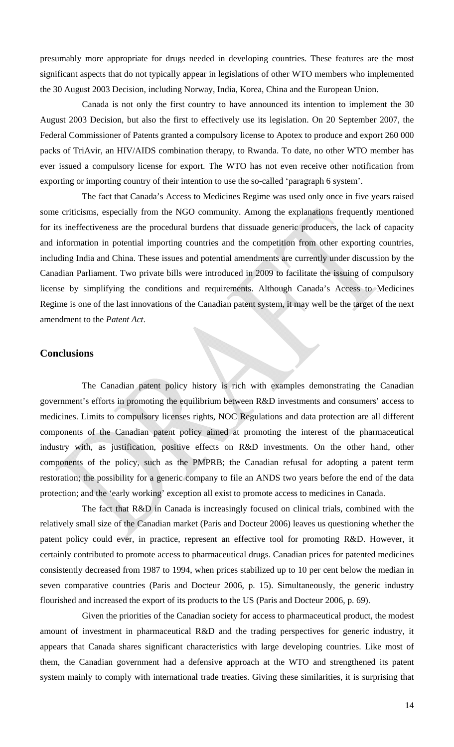presumably more appropriate for drugs needed in developing countries. These features are the most significant aspects that do not typically appear in legislations of other WTO members who implemented the 30 August 2003 Decision, including Norway, India, Korea, China and the European Union.

Canada is not only the first country to have announced its intention to implement the 30 August 2003 Decision, but also the first to effectively use its legislation. On 20 September 2007, the Federal Commissioner of Patents granted a compulsory license to Apotex to produce and export 260 000 packs of TriAvir, an HIV/AIDS combination therapy, to Rwanda. To date, no other WTO member has ever issued a compulsory license for export. The WTO has not even receive other notification from exporting or importing country of their intention to use the so-called 'paragraph 6 system'.

The fact that Canada's Access to Medicines Regime was used only once in five years raised some criticisms, especially from the NGO community. Among the explanations frequently mentioned for its ineffectiveness are the procedural burdens that dissuade generic producers, the lack of capacity and information in potential importing countries and the competition from other exporting countries, including India and China. These issues and potential amendments are currently under discussion by the Canadian Parliament. Two private bills were introduced in 2009 to facilitate the issuing of compulsory license by simplifying the conditions and requirements. Although Canada's Access to Medicines Regime is one of the last innovations of the Canadian patent system, it may well be the target of the next amendment to the *Patent Act*.

## **Conclusions**

The Canadian patent policy history is rich with examples demonstrating the Canadian government's efforts in promoting the equilibrium between R&D investments and consumers' access to medicines. Limits to compulsory licenses rights, NOC Regulations and data protection are all different components of the Canadian patent policy aimed at promoting the interest of the pharmaceutical industry with, as justification, positive effects on R&D investments. On the other hand, other components of the policy, such as the PMPRB; the Canadian refusal for adopting a patent term restoration; the possibility for a generic company to file an ANDS two years before the end of the data protection; and the 'early working' exception all exist to promote access to medicines in Canada.

The fact that R&D in Canada is increasingly focused on clinical trials, combined with the relatively small size of the Canadian market (Paris and Docteur 2006) leaves us questioning whether the patent policy could ever, in practice, represent an effective tool for promoting R&D. However, it certainly contributed to promote access to pharmaceutical drugs. Canadian prices for patented medicines consistently decreased from 1987 to 1994, when prices stabilized up to 10 per cent below the median in seven comparative countries (Paris and Docteur 2006, p. 15). Simultaneously, the generic industry flourished and increased the export of its products to the US (Paris and Docteur 2006, p. 69).

Given the priorities of the Canadian society for access to pharmaceutical product, the modest amount of investment in pharmaceutical R&D and the trading perspectives for generic industry, it appears that Canada shares significant characteristics with large developing countries. Like most of them, the Canadian government had a defensive approach at the WTO and strengthened its patent system mainly to comply with international trade treaties. Giving these similarities, it is surprising that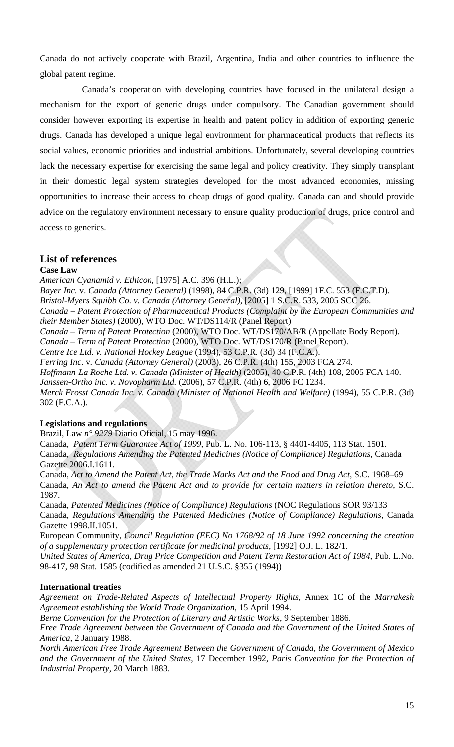Canada do not actively cooperate with Brazil, Argentina, India and other countries to influence the global patent regime.

Canada's cooperation with developing countries have focused in the unilateral design a mechanism for the export of generic drugs under compulsory. The Canadian government should consider however exporting its expertise in health and patent policy in addition of exporting generic drugs. Canada has developed a unique legal environment for pharmaceutical products that reflects its social values, economic priorities and industrial ambitions. Unfortunately, several developing countries lack the necessary expertise for exercising the same legal and policy creativity. They simply transplant in their domestic legal system strategies developed for the most advanced economies, missing opportunities to increase their access to cheap drugs of good quality. Canada can and should provide advice on the regulatory environment necessary to ensure quality production of drugs, price control and access to generics.

# **List of references**

#### **Case Law**

*American Cyanamid v. Ethicon*, [1975] A.C. 396 (H.L.);

*Bayer Inc.* v. *Canada (Attorney General)* (1998), 84 C.P.R. (3d) 129, [1999] 1F.C. 553 (F.C.T.D).

*Bristol-Myers Squibb Co. v. Canada (Attorney General)*, [2005] 1 S.C.R. 533, 2005 SCC 26.

*Canada* – *Patent Protection of Pharmaceutical Products (Complaint by the European Communities and their Member States)* (2000), WTO Doc. WT/DS114/R (Panel Report)

*Canada – Term of Patent Protection* (2000), WTO Doc. WT/DS170/AB/R (Appellate Body Report).

*Canada* – *Term of Patent Protection* (2000), WTO Doc. WT/DS170/R (Panel Report).

*Centre Ice Ltd. v. National Hockey League* (1994), 53 C.P.R. (3d) 34 (F.C.A.).

*Ferring Inc*. v*. Canada (Attorney General)* (2003), 26 C.P.R. (4th) 155, 2003 FCA 274.

*Hoffmann-La Roche Ltd. v. Canada (Minister of Health)* (2005), 40 C.P.R. (4th) 108, 2005 FCA 140.

*Janssen-Ortho inc. v. Novopharm Ltd.* (2006), 57 C.P.R. (4th) 6, 2006 FC 1234.

*Merck Frosst Canada Inc. v. Canada (Minister of National Health and Welfare) (1994), 55 C.P.R. (3d)* 302 (F.C.A.).

#### **Legislations and regulations**

Brazil, Law *n° 9279* Diario Oficial, 15 may 1996.

Canada, *Patent Term Guarantee Act of 1999*, Pub. L. No. 106-113, § 4401-4405, 113 Stat. 1501. Canada, *Regulations Amending the Patented Medicines (Notice of Compliance) Regulations*, Canada Gazette 2006.I.1611.

Canada, *Act to Amend the Patent Act, the Trade Marks Act and the Food and Drug Act*, S.C. 1968–69 Canada, *An Act to amend the Patent Act and to provide for certain matters in relation thereto*, S.C. 1987.

Canada, *Patented Medicines (Notice of Compliance) Regulations* (NOC Regulations SOR 93/133 Canada, *Regulations Amending the Patented Medicines (Notice of Compliance) Regulations*, Canada Gazette 1998.II.1051.

European Community, *Council Regulation (EEC) No 1768/92 of 18 June 1992 concerning the creation of a supplementary protection certificate for medicinal products*, [1992] O.J. L. 182/1.

*United States of America, Drug Price Competition and Patent Term Restoration Act of 1984*, Pub. L.No. 98-417, 98 Stat. 1585 (codified as amended 21 U.S.C. §355 (1994))

#### **International treaties**

*Agreement on Trade-Related Aspects of Intellectual Property Rights*, Annex 1C of the *Marrakesh Agreement establishing the World Trade Organization*, 15 April 1994.

*Berne Convention for the Protection of Literary and Artistic Works*, 9 September 1886.

*Free Trade Agreement between the Government of Canada and the Government of the United States of America*, 2 January 1988.

*North American Free Trade Agreement Between the Government of Canada, the Government of Mexico and the Government of the United States*, 17 December 1992, *Paris Convention for the Protection of Industrial Property*, 20 March 1883.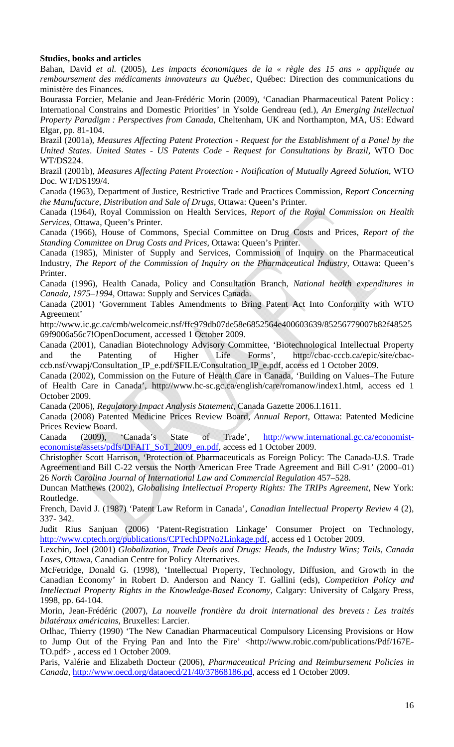#### **Studies, books and articles**

Bahan, David *et al.* (2005), *Les impacts économiques de la « règle des 15 ans » appliquée au remboursement des médicaments innovateurs au Québec,* Québec: Direction des communications du ministère des Finances.

Bourassa Forcier, Melanie and Jean-Frédéric Morin (2009), 'Canadian Pharmaceutical Patent Policy : International Constrains and Domestic Priorities' in Ysolde Gendreau (ed.), *An Emerging Intellectual Property Paradigm : Perspectives from Canada*, Cheltenham, UK and Northampton, MA, US: Edward Elgar, pp. 81-104.

Brazil (2001a), *Measures Affecting Patent Protection - Request for the Establishment of a Panel by the United States*. *United States - US Patents Code - Request for Consultations by Brazil,* WTO Doc WT/DS224.

Brazil (2001b), *Measures Affecting Patent Protection - Notification of Mutually Agreed Solution*, WTO Doc. WT/DS199/4.

Canada (1963), Department of Justice, Restrictive Trade and Practices Commission, *Report Concerning the Manufacture, Distribution and Sale of Drugs,* Ottawa: Queen's Printer.

Canada (1964), Royal Commission on Health Services, *Report of the Royal Commission on Health Services,* Ottawa, Queen's Printer.

Canada (1966), House of Commons, Special Committee on Drug Costs and Prices*, Report of the Standing Committee on Drug Costs and Prices,* Ottawa: Queen's Printer.

Canada (1985), Minister of Supply and Services, Commission of Inquiry on the Pharmaceutical Industry, *The Report of the Commission of Inquiry on the Pharmaceutical Industry*, Ottawa: Queen's Printer.

Canada (1996), Health Canada, Policy and Consultation Branch, *National health expenditures in Canada, 1975–1994,* Ottawa: Supply and Services Canada.

Canada (2001) 'Government Tables Amendments to Bring Patent Act Into Conformity with WTO Agreement'

http://www.ic.gc.ca/cmb/welcomeic.nsf/ffc979db07de58e6852564e400603639/85256779007b82f48525 69f9006a56c7!OpenDocument, accessed 1 October 2009.

Canada (2001), Canadian Biotechnology Advisory Committee, 'Biotechnological Intellectual Property and the Patenting of Higher Life Forms', http://cbac-cccb.ca/epic/site/cbacccb.nsf/vwapj/Consultation\_IP\_e.pdf/\$FILE/Consultation\_IP\_e.pdf, access ed 1 October 2009.

Canada (2002), Commission on the Future of Health Care in Canada, 'Building on Values–The Future of Health Care in Canada'*,* http://www.hc-sc.gc.ca/english/care/romanow/index1.html, access ed 1 October 2009.

Canada (2006), *Regulatory Impact Analysis Statement*, Canada Gazette 2006.I.1611.

Canada (2008) Patented Medicine Prices Review Board, *Annual Report*, Ottawa: Patented Medicine Prices Review Board.

Canada (2009), 'Canada's State of Trade'*,* http://www.international.gc.ca/economisteconomiste/assets/pdfs/DFAIT\_SoT\_2009\_en.pdf, access ed 1 October 2009.

Christopher Scott Harrison, 'Protection of Pharmaceuticals as Foreign Policy: The Canada-U.S. Trade Agreement and Bill C-22 versus the North American Free Trade Agreement and Bill C-91' (2000–01) 26 *North Carolina Journal of International Law and Commercial Regulation* 457–528.

Duncan Matthews (2002), *Globalising Intellectual Property Rights: The TRIPs Agreement,* New York: Routledge.

French, David J. (1987) 'Patent Law Reform in Canada', *Canadian Intellectual Property Review* 4 (2), 337- 342.

Judit Rius Sanjuan (2006) 'Patent-Registration Linkage' Consumer Project on Technology, http://www.cptech.org/publications/CPTechDPNo2Linkage.pdf, access ed 1 October 2009.

Lexchin, Joel (2001) *Globalization, Trade Deals and Drugs: Heads, the Industry Wins; Tails, Canada Loses,* Ottawa, Canadian Centre for Policy Alternatives.

McFetridge, Donald G. (1998), 'Intellectual Property, Technology, Diffusion, and Growth in the Canadian Economy' in Robert D. Anderson and Nancy T. Gallini (eds), *Competition Policy and Intellectual Property Rights in the Knowledge-Based Economy,* Calgary: University of Calgary Press, 1998, pp. 64-104.

Morin, Jean-Frédéric (2007), *La nouvelle frontière du droit international des brevets : Les traités bilatéraux américains,* Bruxelles: Larcier.

Orlhac, Thierry (1990) 'The New Canadian Pharmaceutical Compulsory Licensing Provisions or How to Jump Out of the Frying Pan and Into the Fire' <http://www.robic.com/publications/Pdf/167E-TO.pdf> , access ed 1 October 2009.

Paris, Valérie and Elizabeth Docteur (2006), *Pharmaceutical Pricing and Reimbursement Policies in Canada,* http://www.oecd.org/dataoecd/21/40/37868186.pd, access ed 1 October 2009.